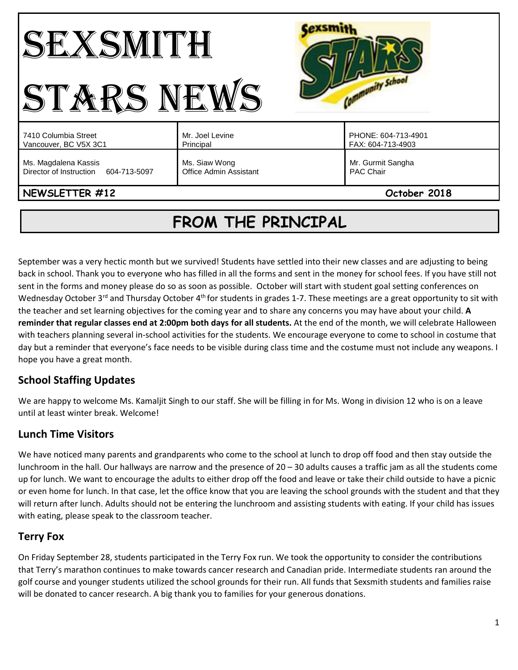| $\mathbb{R}^n$<br><b>Antunity School</b><br>SI<br>1 KS 1        |                                         |                                          |
|-----------------------------------------------------------------|-----------------------------------------|------------------------------------------|
| 7410 Columbia Street<br>Vancouver, BC V5X 3C1                   | Mr. Joel Levine<br>Principal            | PHONE: 604-713-4901<br>FAX: 604-713-4903 |
| Ms. Magdalena Kassis<br>Director of Instruction<br>604-713-5097 | Ms. Siaw Wong<br>Office Admin Assistant | Mr. Gurmit Sangha<br>PAC Chair           |
| NEWSLETTER #12                                                  |                                         | October 2018                             |

# **FROM THE PRINCIPAL**

September was a very hectic month but we survived! Students have settled into their new classes and are adjusting to being back in school. Thank you to everyone who has filled in all the forms and sent in the money for school fees. If you have still not sent in the forms and money please do so as soon as possible. October will start with student goal setting conferences on Wednesday October 3<sup>rd</sup> and Thursday October 4<sup>th</sup> for students in grades 1-7. These meetings are a great opportunity to sit with the teacher and set learning objectives for the coming year and to share any concerns you may have about your child. **A reminder that regular classes end at 2:00pm both days for all students.** At the end of the month, we will celebrate Halloween with teachers planning several in-school activities for the students. We encourage everyone to come to school in costume that day but a reminder that everyone's face needs to be visible during class time and the costume must not include any weapons. I hope you have a great month.

# **School Staffing Updates**

We are happy to welcome Ms. Kamaljit Singh to our staff. She will be filling in for Ms. Wong in division 12 who is on a leave until at least winter break. Welcome!

# **Lunch Time Visitors**

We have noticed many parents and grandparents who come to the school at lunch to drop off food and then stay outside the lunchroom in the hall. Our hallways are narrow and the presence of 20 – 30 adults causes a traffic jam as all the students come up for lunch. We want to encourage the adults to either drop off the food and leave or take their child outside to have a picnic or even home for lunch. In that case, let the office know that you are leaving the school grounds with the student and that they will return after lunch. Adults should not be entering the lunchroom and assisting students with eating. If your child has issues with eating, please speak to the classroom teacher.

# **Terry Fox**

On Friday September 28, students participated in the Terry Fox run. We took the opportunity to consider the contributions that Terry's marathon continues to make towards cancer research and Canadian pride. Intermediate students ran around the golf course and younger students utilized the school grounds for their run. All funds that Sexsmith students and families raise will be donated to cancer research. A big thank you to families for your generous donations.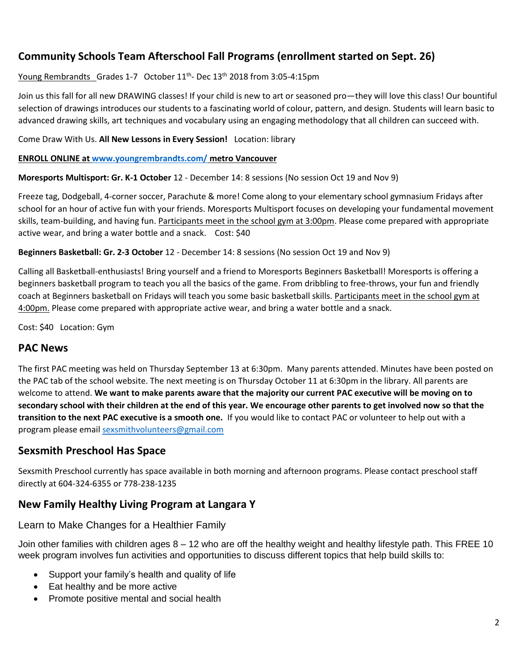# **Community Schools Team Afterschool Fall Programs (enrollment started on Sept. 26)**

#### Young Rembrandts Grades 1-7 October 11<sup>th</sup>- Dec 13<sup>th</sup> 2018 from 3:05-4:15pm

Join us this fall for all new DRAWING classes! If your child is new to art or seasoned pro—they will love this class! Our bountiful selection of drawings introduces our students to a fascinating world of colour, pattern, and design. Students will learn basic to advanced drawing skills, art techniques and vocabulary using an engaging methodology that all children can succeed with.

#### Come Draw With Us. **All New Lessons in Every Session!** Location: library

#### **ENROLL ONLINE a[t www.youngrembrandts.com/](http://www.youngrembrandts.com/) metro Vancouver**

**Moresports Multisport: Gr. K-1 October** 12 - December 14: 8 sessions (No session Oct 19 and Nov 9)

Freeze tag, Dodgeball, 4-corner soccer, Parachute & more! Come along to your elementary school gymnasium Fridays after school for an hour of active fun with your friends. Moresports Multisport focuses on developing your fundamental movement skills, team-building, and having fun. Participants meet in the school gym at 3:00pm. Please come prepared with appropriate active wear, and bring a water bottle and a snack. Cost: \$40

**Beginners Basketball: Gr. 2-3 October** 12 - December 14: 8 sessions (No session Oct 19 and Nov 9)

Calling all Basketball-enthusiasts! Bring yourself and a friend to Moresports Beginners Basketball! Moresports is offering a beginners basketball program to teach you all the basics of the game. From dribbling to free-throws, your fun and friendly coach at Beginners basketball on Fridays will teach you some basic basketball skills. Participants meet in the school gym at 4:00pm. Please come prepared with appropriate active wear, and bring a water bottle and a snack.

Cost: \$40 Location: Gym

### **PAC News**

The first PAC meeting was held on Thursday September 13 at 6:30pm. Many parents attended. Minutes have been posted on the PAC tab of the school website. The next meeting is on Thursday October 11 at 6:30pm in the library. All parents are welcome to attend. **We want to make parents aware that the majority our current PAC executive will be moving on to secondary school with their children at the end of this year. We encourage other parents to get involved now so that the transition to the next PAC executive is a smooth one.** If you would like to contact PAC or volunteer to help out with a program please email [sexsmithvolunteers@gmail.com](mailto:sexsmithvolunteers@gmail.com)

### **Sexsmith Preschool Has Space**

Sexsmith Preschool currently has space available in both morning and afternoon programs. Please contact preschool staff directly at 604-324-6355 or 778-238-1235

### **New Family Healthy Living Program at Langara Y**

#### Learn to Make Changes for a Healthier Family

Join other families with children ages 8 – 12 who are off the healthy weight and healthy lifestyle path. This FREE 10 week program involves fun activities and opportunities to discuss different topics that help build skills to:

- Support your family's health and quality of life
- Eat healthy and be more active
- Promote positive mental and social health